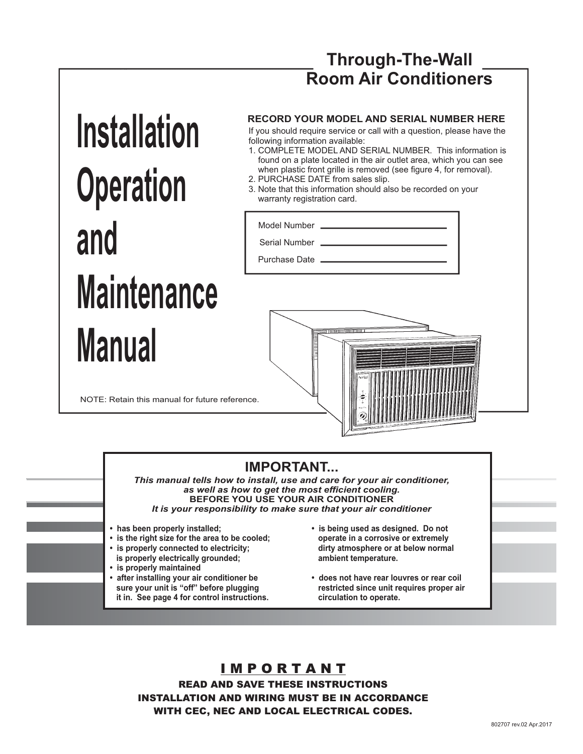# **Through-The-Wall Room Air Conditioners**

# **Installation Operation and Maintenance Manual**

#### **RECORD YOUR MODEL AND SERIAL NUMBER HERE**

If you should require service or call with a question, please have the following information available:

- 1. COMPLETE MODEL AND SERIAL NUMBER. This information is found on a plate located in the air outlet area, which you can see when plastic front grille is removed (see figure 4, for removal).
- 2. PURCHASE DATE from sales slip.
- 3. Note that this information should also be recorded on your warranty registration card.

Model Number . Serial Number

Purchase Date \_

NOTE: Retain this manual for future reference.



# **IMPORTANT...**

*This manual tells how to install, use and care for your air conditioner, as well as how to get the most efficient cooling.* **BEFORE YOU USE YOUR AIR CONDITIONER** *It is your responsibility to make sure that your air conditioner*

- **has been properly installed;**
- **is the right size for the area to be cooled;**
- **is properly connected to electricity; is properly electrically grounded;**
- **is properly maintained**
- **after installing your air conditioner be sure your unit is "off" before plugging it in. See page 4 for control instructions.**
- **is being used as designed. Do not operate in a corrosive or extremely dirty atmosphere or at below normal ambient temperature.**
- **does not have rear louvres or rear coil restricted since unit requires proper air circulation to operate.**

## I M P O R T A N T READ AND SAVE THESE INSTRUCTIONS INSTALLATION AND WIRING MUST BE IN ACCORDANCE

WITH CEC, NEC AND LOCAL ELECTRICAL CODES.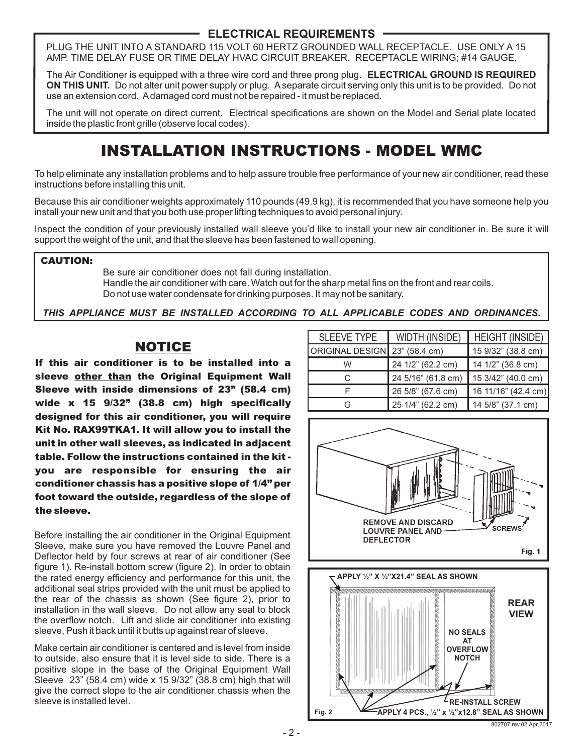#### **ELECTRICAL REQUIREMENTS**

PLUG THE UNIT INTO A STANDARD 115 VOLT 60 HERTZ GROUNDED WALL RECEPTACLE. USE ONLY A 15 AMP. TIME DELAY FUSE OR TIME DELAY HVAC CIRCUIT BREAKER. RECEPTACLE WIRING; #14 GAUGE.

The Air Conditioner is equipped with a three wire cord and three prong plug. **ELECTRICAL GROUND IS REQUIRED ON THIS UNIT.** Do not alter unit power supply or plug. A separate circuit serving only this unit is to be provided. Do not use an extension cord. Adamaged cord must not be repaired - it must be replaced.

The unit will not operate on direct current. Electrical specifications are shown on the Model and Serial plate located inside the plastic front grille (observe local codes).

# INSTALLATION INSTRUCTIONS - MODEL WMC

To help eliminate any installation problems and to help assure trouble free performance of your new air conditioner, read these instructions before installing this unit.

Because this air conditioner weights approximately 110 pounds (49.9 kg), it is recommended that you have someone help you install your new unit and that you both use proper lifting techniques to avoid personal injury.

Inspect the condition of your previously installed wall sleeve you'd like to install your new air conditioner in. Be sure it will support the weight of the unit, and that the sleeve has been fastened to wall opening.

#### CAUTION:

Be sure air conditioner does not fall during installation. Handle the air conditioner with care. Watch out for the sharp metal fins on the front and rear coils. Do not use water condensate for drinking purposes. It may not be sanitary.

*THIS APPLIANCE MUST BE INSTALLED ACCORDING TO ALL APPLICABLE CODES AND ORDINANCES.*

# NOTICE

If this air conditioner is to be installed into a sleeve other than the Original Equipment Wall Sleeve with inside dimensions of 23" (58.4 cm) wide x 15 9/32" (38.8 cm) high specifically designed for this air conditioner, you will require Kit No. RAX99TKA1. It will allow you to install the unit in other wall sleeves, as indicated in adjacent table. Follow the instructions contained in the kit you are responsible for ensuring the air conditioner chassis has a positive slope of 1/4" per foot toward the outside, regardless of the slope of the sleeve.

Before installing the air conditioner in the Original Equipment Sleeve, make sure you have removed the Louvre Panel and Deflector held by four screws at rear of air conditioner (See figure 1). Re-install bottom screw (figure 2). In order to obtain the rated energy efficiency and performance for this unit, the additional seal strips provided with the unit must be applied to the rear of the chassis as shown (See figure 2), prior to installation in the wall sleeve. Do not allow any seal to block the overflow notch. Lift and slide air conditioner into existing sleeve, Push it back until it butts up against rear of sleeve.

Make certain air conditioner is centered and is level from inside to outside, also ensure that it is level side to side. There is a positive slope in the base of the Original Equipment Wall Sleeve 23" (58.4 cm) wide x 15 9/32" (38.8 cm) high that will give the correct slope to the air conditioner chassis when the sleeve is installed level.

| <b>SLEEVE TYPE</b>            | <b>WIDTH (INSIDE)</b> | HEIGHT (INSIDE)     |
|-------------------------------|-----------------------|---------------------|
| ORIGINAL DESIGN 23" (58.4 cm) |                       | 15 9/32" (38.8 cm)  |
| W                             | 24 1/2" (62.2 cm)     | 14 1/2" (36.8 cm)   |
| C                             | 24 5/16" (61.8 cm)    | 15 3/42" (40.0 cm)  |
|                               | 26 5/8" (67.6 cm)     | 16 11/16" (42.4 cm) |
| G                             | 25 1/4" (62.2 cm)     | 14 5/8" (37.1 cm)   |



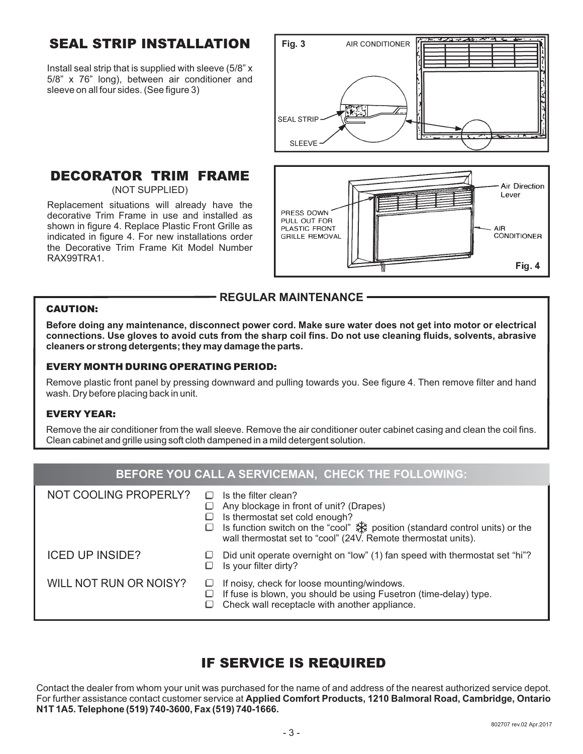# SEAL STRIP INSTALLATION

Install seal strip that is supplied with sleeve (5/8" x 5/8" x 76" long), between air conditioner and sleeve on all four sides. (See figure 3)

# Fig. 3 AIR CONDITIONER **SEAL STRIP SLEEVE**

#### DECORATOR TRIM FRAME (NOT SUPPLIED)

Replacement situations will already have the decorative Trim Frame in use and installed as shown in figure 4. Replace Plastic Front Grille as indicated in figure 4. For new installations order the Decorative Trim Frame Kit Model Number RAX99TRA1.



#### **REGULAR MAINTENANCE**

#### CAUTION:

**Before doing any maintenance, disconnect power cord. Make sure water does not get into motor or electrical connections. Use gloves to avoid cuts from the sharp coil fins. Do not use cleaning fluids, solvents, abrasive cleaners or strong detergents; they may damage the parts.**

#### EVERY MONTH DURING OPERATING PERIOD:

Remove plastic front panel by pressing downward and pulling towards you. See figure 4. Then remove filter and hand wash. Dry before placing back in unit.

#### EVERY YEAR:

Remove the air conditioner from the wall sleeve. Remove the air conditioner outer cabinet casing and clean the coil fins. Clean cabinet and grille using soft cloth dampened in a mild detergent solution.

# **BEFORE YOU CALL A SERVICEMAN, CHECK THE FOLLOWING:**

| NOT COOLING PROPERLY?  | Is the filter clean?<br>Any blockage in front of unit? (Drapes)<br>Is thermostat set cold enough?<br>ls function switch on the "cool" ** position (standard control units) or the<br>wall thermostat set to "cool" (24V. Remote thermostat units). |
|------------------------|----------------------------------------------------------------------------------------------------------------------------------------------------------------------------------------------------------------------------------------------------|
| <b>ICED UP INSIDE?</b> | Did unit operate overnight on "low" (1) fan speed with thermostat set "hi"?<br>Is your filter dirty?                                                                                                                                               |
| WILL NOT RUN OR NOISY? | If noisy, check for loose mounting/windows.<br>⊔<br>If fuse is blown, you should be using Fusetron (time-delay) type.<br>Check wall receptacle with another appliance.                                                                             |

# IF SERVICE IS REQUIRED

Contact the dealer from whom your unit was purchased for the name of and address of the nearest authorized service depot. For further assistance contact customer service at **Applied Comfort Products, 1210 Balmoral Road, Cambridge, Ontario N1T 1A5. Telephone (519) 740-3600, Fax (519) 740-1666.**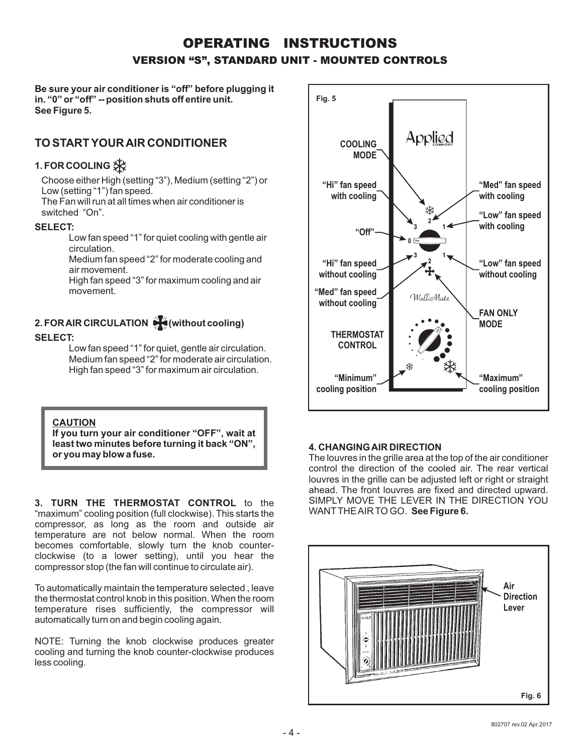# OPERATING INSTRUCTIONS VERSION "S", STANDARD UNIT - MOUNTED CONTROLS

**Be sure your air conditioner is "off" before plugging it in. "0" or "off" -- position shuts off entire unit. See Figure 5.**

# **TO START YOURAIR CONDITIONER**

# **1. FOR COOLING**

Choose either High (setting "3"), Medium (setting "2") or Low (setting "1") fan speed.

The Fan will run at all times when air conditioner is switched "On".

#### **SELECT:**

Low fan speed "1" for quiet cooling with gentle air circulation.

Medium fan speed "2" for moderate cooling and air movement.

High fan speed "3" for maximum cooling and air movement.

# **2. FORAIR CIRCULATION (without cooling)**

#### **SELECT:**

Low fan speed "1" for quiet, gentle air circulation. Medium fan speed "2" for moderate air circulation. High fan speed "3" for maximum air circulation.

#### **CAUTION**

**If you turn your air conditioner "OFF", wait at least two minutes before turning it back "ON", or you may blow a fuse.**

**3. TURN THE THERMOSTAT CONTROL** to the "maximum" cooling position (full clockwise). This starts the compressor, as long as the room and outside air temperature are not below normal. When the room becomes comfortable, slowly turn the knob counterclockwise (to a lower setting), until you hear the compressor stop (the fan will continue to circulate air).

To automatically maintain the temperature selected , leave the thermostat control knob in this position. When the room temperature rises sufficiently, the compressor will automatically turn on and begin cooling again.

NOTE: Turning the knob clockwise produces greater cooling and turning the knob counter-clockwise produces less cooling.



#### **4. CHANGINGAIR DIRECTION**

The louvres in the grille area at the top of the air conditioner control the direction of the cooled air. The rear vertical louvres in the grille can be adjusted left or right or straight ahead. The front louvres are fixed and directed upward. SIMPLY MOVE THE LEVER IN THE DIRECTION YOU WANTTHEAIR TO GO. **See Figure 6.**

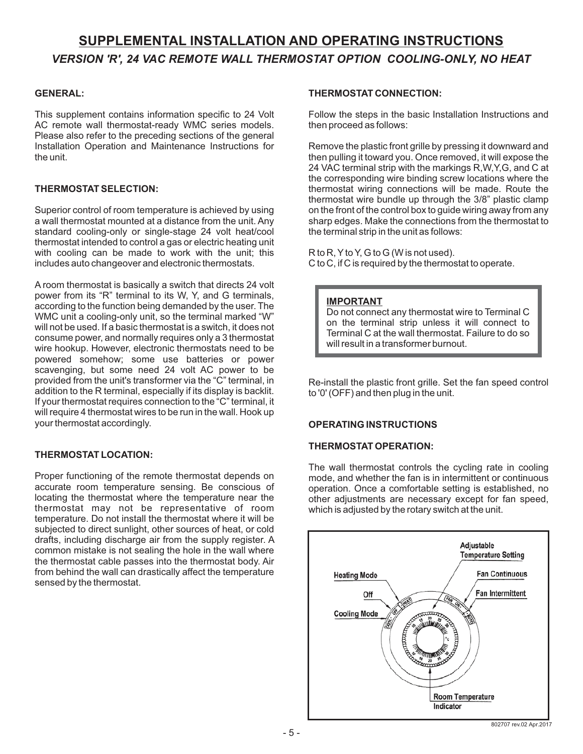# **SUPPLEMENTAL INSTALLATION AND OPERATING INSTRUCTIONS** *VERSION 'R', 24 VAC REMOTE WALL THERMOSTAT OPTION COOLING-ONLY, NO HEAT*

#### **GENERAL:**

This supplement contains information specific to 24 Volt AC remote wall thermostat-ready WMC series models. Please also refer to the preceding sections of the general Installation Operation and Maintenance Instructions for the unit.

#### **THERMOSTAT SELECTION:**

Superior control of room temperature is achieved by using a wall thermostat mounted at a distance from the unit. Any standard cooling-only or single-stage 24 volt heat/cool thermostat intended to control a gas or electric heating unit with cooling can be made to work with the unit; this includes auto changeover and electronic thermostats.

A room thermostat is basically a switch that directs 24 volt power from its "R" terminal to its W, Y, and G terminals, according to the function being demanded by the user. The WMC unit a cooling-only unit, so the terminal marked "W" will not be used. If a basic thermostat is a switch, it does not consume power, and normally requires only a 3 thermostat wire hookup. However, electronic thermostats need to be powered somehow; some use batteries or power scavenging, but some need 24 volt AC power to be provided from the unit's transformer via the "C" terminal, in addition to the R terminal, especially if its display is backlit. If your thermostat requires connection to the "C" terminal, it will require 4 thermostat wires to be run in the wall. Hook up your thermostat accordingly.

#### **THERMOSTAT LOCATION:**

Proper functioning of the remote thermostat depends on accurate room temperature sensing. Be conscious of locating the thermostat where the temperature near the thermostat may not be representative of room temperature. Do not install the thermostat where it will be subjected to direct sunlight, other sources of heat, or cold drafts, including discharge air from the supply register. A common mistake is not sealing the hole in the wall where the thermostat cable passes into the thermostat body. Air from behind the wall can drastically affect the temperature sensed by the thermostat.

#### **THERMOSTAT CONNECTION:**

Follow the steps in the basic Installation Instructions and then proceed as follows:

Remove the plastic front grille by pressing it downward and then pulling it toward you. Once removed, it will expose the 24 VAC terminal strip with the markings R,W,Y,G, and C at the corresponding wire binding screw locations where the thermostat wiring connections will be made. Route the thermostat wire bundle up through the 3/8" plastic clamp on the front of the control box to guide wiring away from any sharp edges. Make the connections from the thermostat to the terminal strip in the unit as follows:

R to R, Y to Y, G to G (W is not used). C to C, if C is required by the thermostat to operate.

#### **IMPORTANT**

Do not connect any thermostat wire to Terminal C on the terminal strip unless it will connect to Terminal C at the wall thermostat. Failure to do so will result in a transformer burnout.

Re-install the plastic front grille. Set the fan speed control to '0' (OFF) and then plug in the unit.

#### **OPERATING INSTRUCTIONS**

#### **THERMOSTAT OPERATION:**

The wall thermostat controls the cycling rate in cooling mode, and whether the fan is in intermittent or continuous operation. Once a comfortable setting is established, no other adjustments are necessary except for fan speed, which is adjusted by the rotary switch at the unit.